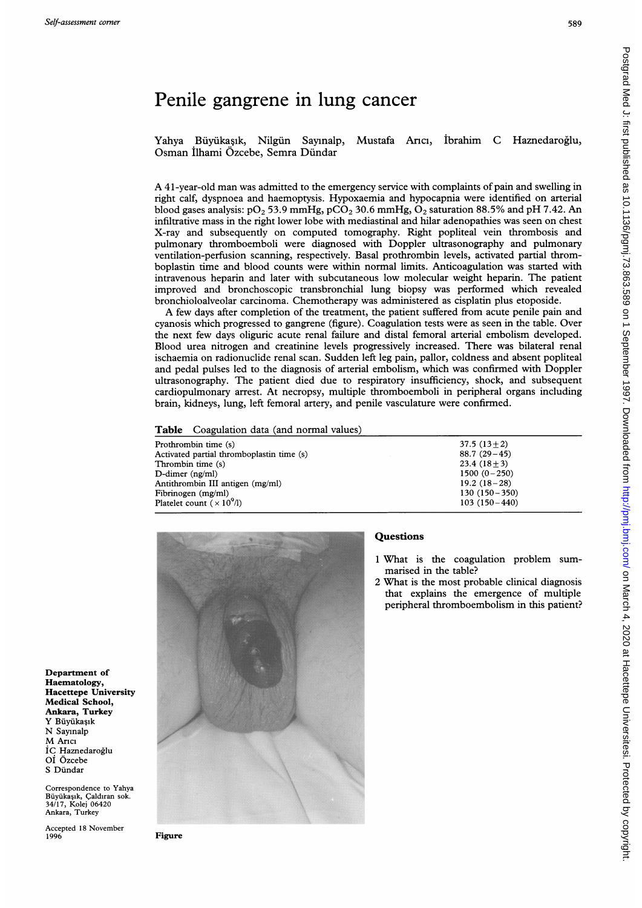Postgrad Med J: first published as 10.1136/pgmj.73.863.589 on 1 September 1997. Downloaded from http://pmj.bmj.com/ on March 4, 2020 at Hacettepe Universitesi. Protected by copyright Postgrad Med J: first published as 10.1136/pgmj.73.883.589 on 1 September 1997. Downloaded from http://pmj.pmj.com/ Portected March 4, 2020 at Hacettepe Universitesi. Protected by copyright.

# Penile gangrene in lung cancer

Yahya Büyükaşık, Nilgün Sayınalp, Mustafa Arıcı, İbrahim C Haznedaroğlu, Osman Ilhami Ozcebe, Semra Dundar

A <sup>4</sup>1-year-old man was admitted to the emergency service with complaints of pain and swelling in right calf, dyspnoea and haemoptysis. Hypoxaemia and hypocapnia were identified on arterial blood gases analysis:  $pO_2$  53.9 mmHg,  $pCO_2$  30.6 mmHg,  $O_2$  saturation 88.5% and pH 7.42. An infiltrative mass in the right lower lobe with mediastinal and hilar adenopathies was seen on chest X-ray and subsequently on computed tomography. Right popliteal vein thrombosis and pulmonary thromboemboli were diagnosed with Doppler ultrasonography and pulmonary ventilation-perfusion scanning, respectively. Basal prothrombin levels, activated partial thromboplastin time and blood counts were within normal limits. Anticoagulation was started with intravenous heparin and later with subcutaneous low molecular weight heparin. The patient improved and bronchoscopic transbronchial lung biopsy was performed which revealed bronchioloalveolar carcinoma. Chemotherapy was administered as cisplatin plus etoposide.

A few days after completion of the treatment, the patient suffered from acute penile pain and cyanosis which progressed to gangrene (figure). Coagulation tests were as seen in the table. Over the next few days oliguric acute renal failure and distal femoral arterial embolism developed. Blood urea nitrogen and creatinine levels progressively increased. There was bilateral renal ischaemia on radionuclide renal scan. Sudden left leg pain, pallor, coldness and absent popliteal and pedal pulses led to the diagnosis of arterial embolism, which was confirmed with Doppler ultrasonography. The patient died due to respiratory insufficiency, shock, and subsequent cardiopulmonary arrest. At necropsy, multiple thromboemboli in peripheral organs including brain, kidneys, lung, left femoral artery, and penile vasculature were confirmed.

Table Coagulation data (and normal values)

| Prothrombin time (s)                      | $37.5(13+2)$     |
|-------------------------------------------|------------------|
| Activated partial thromboplastin time (s) | $88.7(29-45)$    |
| Thrombin time (s)                         | $23.4(18+3)$     |
| $D$ -dimer (ng/ml)                        | $1500 (0 - 250)$ |
| Antithrombin III antigen (mg/ml)          | $19.2(18-28)$    |
| Fibrinogen (mg/ml)                        | $130(150-350)$   |
| Platelet count ( $\times 10^{9}$ /l)      | $103(150-440)$   |
|                                           |                  |



## **Questions**

- <sup>1</sup> What is the coagulation problem summarised in the table?
- 2 What is the most probable clinical diagnosis that explains the emergence of multiple peripheral thromboembolism in this patient?

Department of Haematology, Hacettepe University Medical School, Ankara, Turkey Y Büvükasık N Sayinalp M Arici IC Haznedaroglu Oi Ozcebe S Dündar

Correspondence to Yahya Büyükaşık, Çaldıran sok. 34/17, Kolej 06420 Ankara, Turkey

Accepted 18 November 1996

Figure